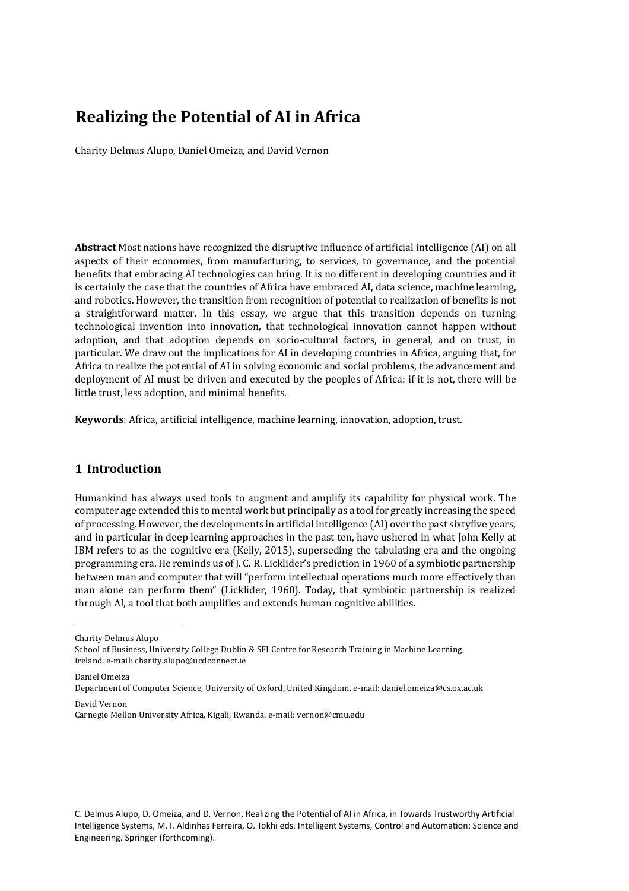# **Realizing the Potential of AI in Africa**

Charity Delmus Alupo, Daniel Omeiza, and David Vernon

Abstract Most nations have recognized the disruptive influence of artificial intelligence (AI) on all aspects of their economies, from manufacturing, to services, to governance, and the potential benefits that embracing AI technologies can bring. It is no different in developing countries and it is certainly the case that the countries of Africa have embraced AI, data science, machine learning, and robotics. However, the transition from recognition of potential to realization of benefits is not a straightforward matter. In this essay, we argue that this transition depends on turning technological invention into innovation, that technological innovation cannot happen without adoption, and that adoption depends on socio-cultural factors, in general, and on trust, in particular. We draw out the implications for AI in developing countries in Africa, arguing that, for Africa to realize the potential of AI in solving economic and social problems, the advancement and deployment of AI must be driven and executed by the peoples of Africa: if it is not, there will be little trust, less adoption, and minimal benefits.

**Keywords**: Africa, artificial intelligence, machine learning, innovation, adoption, trust.

# **1 Introduction**

Humankind has always used tools to augment and amplify its capability for physical work. The computer age extended this to mental work but principally as a tool for greatly increasing the speed of processing. However, the developments in artificial intelligence (AI) over the past sixtyfive years, and in particular in deep learning approaches in the past ten, have ushered in what John Kelly at IBM refers to as the cognitive era (Kelly, 2015), superseding the tabulating era and the ongoing programming era. He reminds us of J. C. R. Licklider's prediction in 1960 of a symbiotic partnership between man and computer that will "perform intellectual operations much more effectively than man alone can perform them" (Licklider, 1960). Today, that symbiotic partnership is realized through AI, a tool that both amplifies and extends human cognitive abilities.

Daniel Omeiza

David Vernon Carnegie Mellon University Africa, Kigali, Rwanda. e-mail: vernon@cmu.edu

C. Delmus Alupo, D. Omeiza, and D. Vernon, Realizing the Potential of AI in Africa, in Towards Trustworthy Artificial Intelligence Systems, M. I. Aldinhas Ferreira, O. Tokhi eds. Intelligent Systems, Control and Automation: Science and Engineering. Springer (forthcoming).

Charity Delmus Alupo

School of Business, University College Dublin & SFI Centre for Research Training in Machine Learning, Ireland. e-mail: charity.alupo@ucdconnect.ie

Department of Computer Science, University of Oxford, United Kingdom. e-mail: daniel.omeiza@cs.ox.ac.uk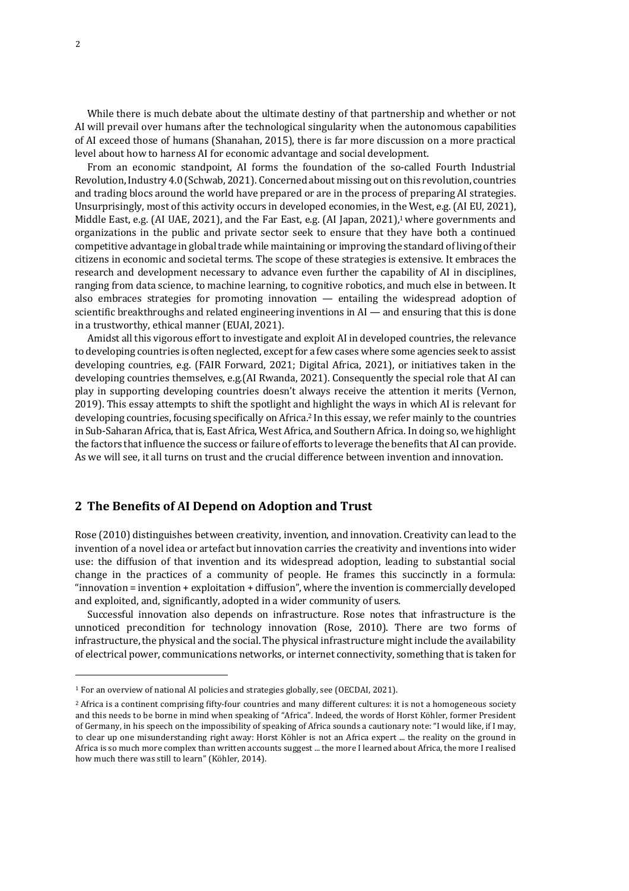While there is much debate about the ultimate destiny of that partnership and whether or not AI will prevail over humans after the technological singularity when the autonomous capabilities of AI exceed those of humans (Shanahan, 2015), there is far more discussion on a more practical level about how to harness AI for economic advantage and social development.

From an economic standpoint, AI forms the foundation of the so-called Fourth Industrial Revolution, Industry 4.0 (Schwab, 2021). Concerned about missing out on this revolution, countries and trading blocs around the world have prepared or are in the process of preparing AI strategies. Unsurprisingly, most of this activity occurs in developed economies, in the West, e.g. (AI EU, 2021), Middle East, e.g. (AI UAE, 2021), and the Far East, e.g. (AI Japan, 2021),<sup>1</sup> where governments and organizations in the public and private sector seek to ensure that they have both a continued competitive advantage in global trade while maintaining or improving the standard of living of their citizens in economic and societal terms. The scope of these strategies is extensive. It embraces the research and development necessary to advance even further the capability of AI in disciplines, ranging from data science, to machine learning, to cognitive robotics, and much else in between. It also embraces strategies for promoting innovation  $-$  entailing the widespread adoption of scientific breakthroughs and related engineering inventions in  $AI$  — and ensuring that this is done in a trustworthy, ethical manner (EUAI, 2021).

Amidst all this vigorous effort to investigate and exploit AI in developed countries, the relevance to developing countries is often neglected, except for a few cases where some agencies seek to assist developing countries, e.g. (FAIR Forward, 2021; Digital Africa, 2021), or initiatives taken in the developing countries themselves, e.g.(AI Rwanda, 2021). Consequently the special role that AI can play in supporting developing countries doesn't always receive the attention it merits (Vernon, 2019). This essay attempts to shift the spotlight and highlight the ways in which AI is relevant for developing countries, focusing specifically on Africa.<sup>2</sup> In this essay, we refer mainly to the countries in Sub-Saharan Africa, that is, East Africa, West Africa, and Southern Africa. In doing so, we highlight the factors that influence the success or failure of efforts to leverage the benefits that AI can provide. As we will see, it all turns on trust and the crucial difference between invention and innovation.

# **2 The Benefits of AI Depend on Adoption and Trust**

Rose (2010) distinguishes between creativity, invention, and innovation. Creativity can lead to the invention of a novel idea or artefact but innovation carries the creativity and inventions into wider use: the diffusion of that invention and its widespread adoption, leading to substantial social change in the practices of a community of people. He frames this succinctly in a formula: "innovation = invention + exploitation + diffusion", where the invention is commercially developed and exploited, and, significantly, adopted in a wider community of users.

Successful innovation also depends on infrastructure. Rose notes that infrastructure is the unnoticed precondition for technology innovation (Rose, 2010). There are two forms of infrastructure, the physical and the social. The physical infrastructure might include the availability of electrical power, communications networks, or internet connectivity, something that is taken for

<sup>&</sup>lt;sup>1</sup> For an overview of national AI policies and strategies globally, see (OECDAI, 2021).

<sup>&</sup>lt;sup>2</sup> Africa is a continent comprising fifty-four countries and many different cultures: it is not a homogeneous society and this needs to be borne in mind when speaking of "Africa". Indeed, the words of Horst Köhler, former President of Germany, in his speech on the impossibility of speaking of Africa sounds a cautionary note: "I would like, if I may, to clear up one misunderstanding right away: Horst Köhler is not an Africa expert ... the reality on the ground in Africa is so much more complex than written accounts suggest ... the more I learned about Africa, the more I realised how much there was still to learn" (Köhler, 2014).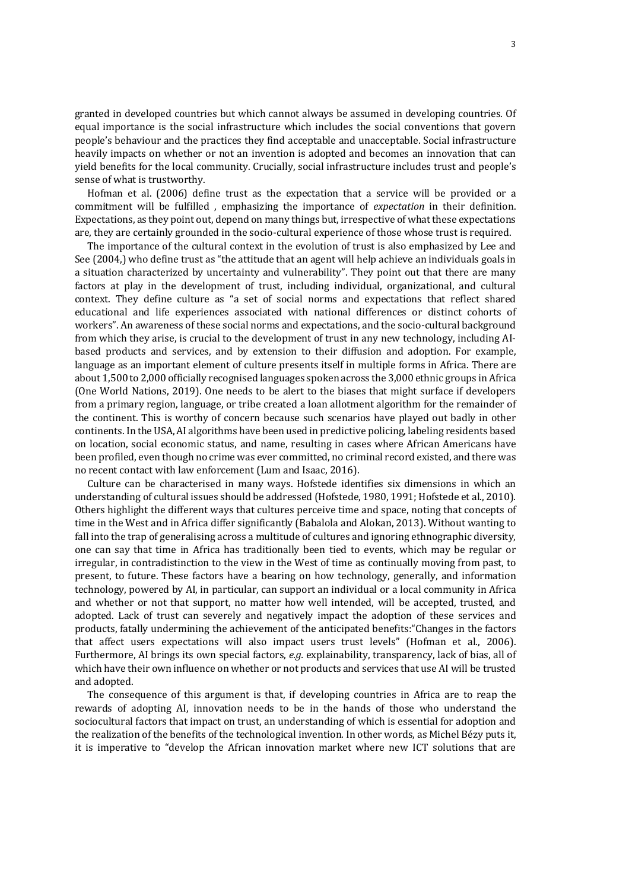granted in developed countries but which cannot always be assumed in developing countries. Of equal importance is the social infrastructure which includes the social conventions that govern people's behaviour and the practices they find acceptable and unacceptable. Social infrastructure heavily impacts on whether or not an invention is adopted and becomes an innovation that can yield benefits for the local community. Crucially, social infrastructure includes trust and people's sense of what is trustworthy.

Hofman et al. (2006) define trust as the expectation that a service will be provided or a commitment will be fulfilled , emphasizing the importance of *expectation* in their definition. Expectations, as they point out, depend on many things but, irrespective of what these expectations are, they are certainly grounded in the socio-cultural experience of those whose trust is required.

The importance of the cultural context in the evolution of trust is also emphasized by Lee and See (2004,) who define trust as "the attitude that an agent will help achieve an individuals goals in a situation characterized by uncertainty and vulnerability". They point out that there are many factors at play in the development of trust, including individual, organizational, and cultural context. They define culture as "a set of social norms and expectations that reflect shared educational and life experiences associated with national differences or distinct cohorts of workers". An awareness of these social norms and expectations, and the socio-cultural background from which they arise, is crucial to the development of trust in any new technology, including AIbased products and services, and by extension to their diffusion and adoption. For example, language as an important element of culture presents itself in multiple forms in Africa. There are about 1,500 to 2,000 officially recognised languages spoken across the 3,000 ethnic groups in Africa (One World Nations, 2019). One needs to be alert to the biases that might surface if developers from a primary region, language, or tribe created a loan allotment algorithm for the remainder of the continent. This is worthy of concern because such scenarios have played out badly in other continents. In the USA, AI algorithms have been used in predictive policing, labeling residents based on location, social economic status, and name, resulting in cases where African Americans have been profiled, even though no crime was ever committed, no criminal record existed, and there was no recent contact with law enforcement (Lum and Isaac, 2016).

Culture can be characterised in many ways. Hofstede identifies six dimensions in which an understanding of cultural issues should be addressed (Hofstede, 1980, 1991; Hofstede et al., 2010). Others highlight the different ways that cultures perceive time and space, noting that concepts of time in the West and in Africa differ significantly (Babalola and Alokan, 2013). Without wanting to fall into the trap of generalising across a multitude of cultures and ignoring ethnographic diversity, one can say that time in Africa has traditionally been tied to events, which may be regular or irregular, in contradistinction to the view in the West of time as continually moving from past, to present, to future. These factors have a bearing on how technology, generally, and information technology, powered by AI, in particular, can support an individual or a local community in Africa and whether or not that support, no matter how well intended, will be accepted, trusted, and adopted. Lack of trust can severely and negatively impact the adoption of these services and products, fatally undermining the achievement of the anticipated benefits: "Changes in the factors that affect users expectations will also impact users trust levels" (Hofman et al., 2006). Furthermore, AI brings its own special factors, *e.g.* explainability, transparency, lack of bias, all of which have their own influence on whether or not products and services that use AI will be trusted and adopted.

The consequence of this argument is that, if developing countries in Africa are to reap the rewards of adopting AI, innovation needs to be in the hands of those who understand the sociocultural factors that impact on trust, an understanding of which is essential for adoption and the realization of the benefits of the technological invention. In other words, as Michel Bézy puts it, it is imperative to "develop the African innovation market where new ICT solutions that are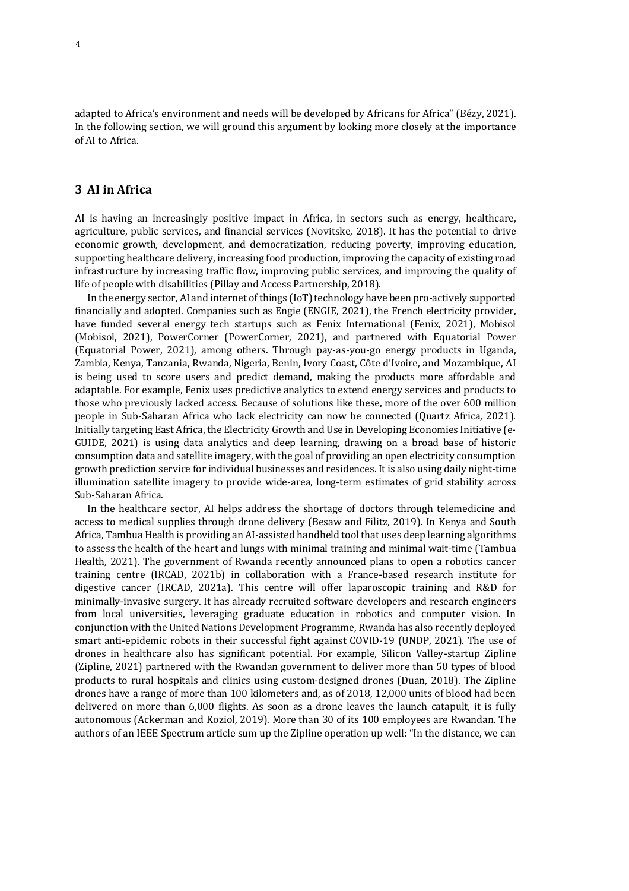adapted to Africa's environment and needs will be developed by Africans for Africa" (Bézy, 2021). In the following section, we will ground this argument by looking more closely at the importance of AI to Africa.

#### **3 AI in Africa**

AI is having an increasingly positive impact in Africa, in sectors such as energy, healthcare, agriculture, public services, and financial services (Novitske, 2018). It has the potential to drive economic growth, development, and democratization, reducing poverty, improving education, supporting healthcare delivery, increasing food production, improving the capacity of existing road infrastructure by increasing traffic flow, improving public services, and improving the quality of life of people with disabilities (Pillay and Access Partnership, 2018).

In the energy sector, AI and internet of things (IoT) technology have been pro-actively supported financially and adopted. Companies such as Engie (ENGIE, 2021), the French electricity provider, have funded several energy tech startups such as Fenix International (Fenix, 2021), Mobisol (Mobisol, 2021), PowerCorner (PowerCorner, 2021), and partnered with Equatorial Power (Equatorial Power, 2021), among others. Through pay-as-you-go energy products in Uganda, Zambia, Kenya, Tanzania, Rwanda, Nigeria, Benin, Ivory Coast, Côte d'Ivoire, and Mozambique, AI is being used to score users and predict demand, making the products more affordable and adaptable. For example, Fenix uses predictive analytics to extend energy services and products to those who previously lacked access. Because of solutions like these, more of the over 600 million people in Sub-Saharan Africa who lack electricity can now be connected (Quartz Africa, 2021). Initially targeting East Africa, the Electricity Growth and Use in Developing Economies Initiative (e-GUIDE, 2021) is using data analytics and deep learning, drawing on a broad base of historic consumption data and satellite imagery, with the goal of providing an open electricity consumption growth prediction service for individual businesses and residences. It is also using daily night-time illumination satellite imagery to provide wide-area, long-term estimates of grid stability across Sub-Saharan Africa.

In the healthcare sector, AI helps address the shortage of doctors through telemedicine and access to medical supplies through drone delivery (Besaw and Filitz, 2019). In Kenya and South Africa, Tambua Health is providing an AI-assisted handheld tool that uses deep learning algorithms to assess the health of the heart and lungs with minimal training and minimal wait-time (Tambua Health, 2021). The government of Rwanda recently announced plans to open a robotics cancer training centre (IRCAD, 2021b) in collaboration with a France-based research institute for digestive cancer (IRCAD, 2021a). This centre will offer laparoscopic training and R&D for minimally-invasive surgery. It has already recruited software developers and research engineers from local universities, leveraging graduate education in robotics and computer vision. In conjunction with the United Nations Development Programme, Rwanda has also recently deployed smart anti-epidemic robots in their successful fight against COVID-19 (UNDP, 2021). The use of drones in healthcare also has significant potential. For example, Silicon Valley-startup Zipline (Zipline, 2021) partnered with the Rwandan government to deliver more than 50 types of blood products to rural hospitals and clinics using custom-designed drones (Duan, 2018). The Zipline drones have a range of more than 100 kilometers and, as of 2018, 12,000 units of blood had been delivered on more than 6,000 flights. As soon as a drone leaves the launch catapult, it is fully autonomous (Ackerman and Koziol, 2019). More than 30 of its 100 employees are Rwandan. The authors of an IEEE Spectrum article sum up the Zipline operation up well: "In the distance, we can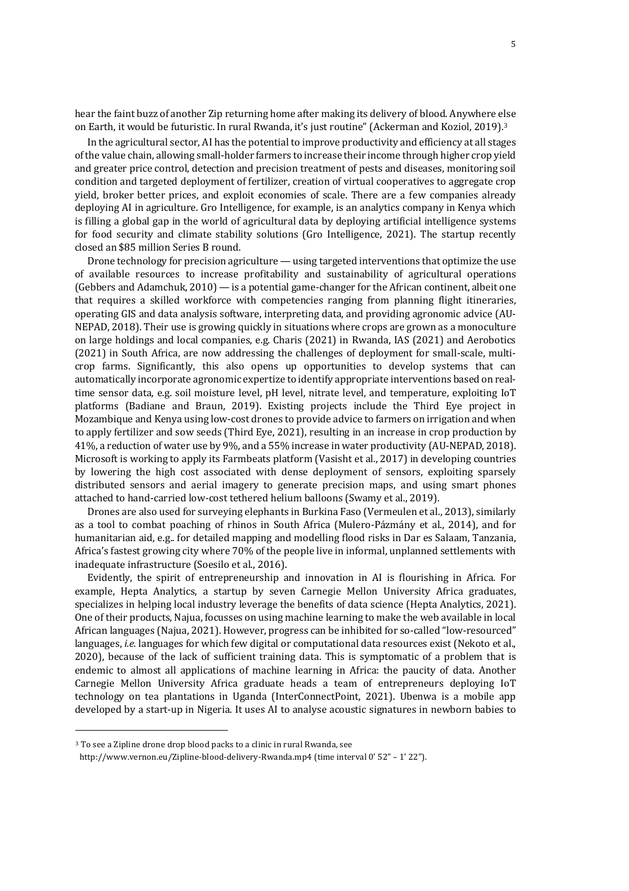hear the faint buzz of another Zip returning home after making its delivery of blood. Anywhere else on Earth, it would be futuristic. In rural Rwanda, it's just routine" (Ackerman and Koziol, 2019).<sup>3</sup>

In the agricultural sector, AI has the potential to improve productivity and efficiency at all stages of the value chain, allowing small-holder farmers to increase their income through higher crop yield and greater price control, detection and precision treatment of pests and diseases, monitoring soil condition and targeted deployment of fertilizer, creation of virtual cooperatives to aggregate crop yield, broker better prices, and exploit economies of scale. There are a few companies already deploying AI in agriculture. Gro Intelligence, for example, is an analytics company in Kenya which is filling a global gap in the world of agricultural data by deploying artificial intelligence systems for food security and climate stability solutions (Gro Intelligence, 2021). The startup recently closed an \$85 million Series B round.

Drone technology for precision agriculture  $-$  using targeted interventions that optimize the use of available resources to increase profitability and sustainability of agricultural operations  $(Gebbers and Adamchuk, 2010)$  — is a potential game-changer for the African continent, albeit one that requires a skilled workforce with competencies ranging from planning flight itineraries, operating GIS and data analysis software, interpreting data, and providing agronomic advice (AU-NEPAD, 2018). Their use is growing quickly in situations where crops are grown as a monoculture on large holdings and local companies, e.g. Charis (2021) in Rwanda, IAS (2021) and Aerobotics (2021) in South Africa, are now addressing the challenges of deployment for small-scale, multicrop farms. Significantly, this also opens up opportunities to develop systems that can automatically incorporate agronomic expertize to identify appropriate interventions based on realtime sensor data, e.g. soil moisture level, pH level, nitrate level, and temperature, exploiting IoT platforms (Badiane and Braun, 2019). Existing projects include the Third Eye project in Mozambique and Kenya using low-cost drones to provide advice to farmers on irrigation and when to apply fertilizer and sow seeds (Third Eye, 2021), resulting in an increase in crop production by 41%, a reduction of water use by 9%, and a 55% increase in water productivity (AU-NEPAD, 2018). Microsoft is working to apply its Farmbeats platform (Vasisht et al., 2017) in developing countries by lowering the high cost associated with dense deployment of sensors, exploiting sparsely distributed sensors and aerial imagery to generate precision maps, and using smart phones attached to hand-carried low-cost tethered helium balloons (Swamy et al., 2019).

Drones are also used for surveying elephants in Burkina Faso (Vermeulen et al., 2013), similarly as a tool to combat poaching of rhinos in South Africa (Mulero-Pázmány et al., 2014), and for humanitarian aid, e.g.. for detailed mapping and modelling flood risks in Dar es Salaam, Tanzania, Africa's fastest growing city where 70% of the people live in informal, unplanned settlements with inadequate infrastructure (Soesilo et al., 2016).

Evidently, the spirit of entrepreneurship and innovation in AI is flourishing in Africa. For example, Hepta Analytics, a startup by seven Carnegie Mellon University Africa graduates, specializes in helping local industry leverage the benefits of data science (Hepta Analytics, 2021). One of their products, Najua, focusses on using machine learning to make the web available in local African languages (Najua, 2021). However, progress can be inhibited for so-called "low-resourced" languages, *i.e.* languages for which few digital or computational data resources exist (Nekoto et al., 2020), because of the lack of sufficient training data. This is symptomatic of a problem that is endemic to almost all applications of machine learning in Africa: the paucity of data. Another Carnegie Mellon University Africa graduate heads a team of entrepreneurs deploying IoT technology on tea plantations in Uganda (InterConnectPoint, 2021). Ubenwa is a mobile app developed by a start-up in Nigeria. It uses AI to analyse acoustic signatures in newborn babies to

<sup>&</sup>lt;sup>3</sup> To see a Zipline drone drop blood packs to a clinic in rural Rwanda, see

http://www.vernon.eu/Zipline-blood-delivery-Rwanda.mp4 (time interval 0' 52" – 1' 22").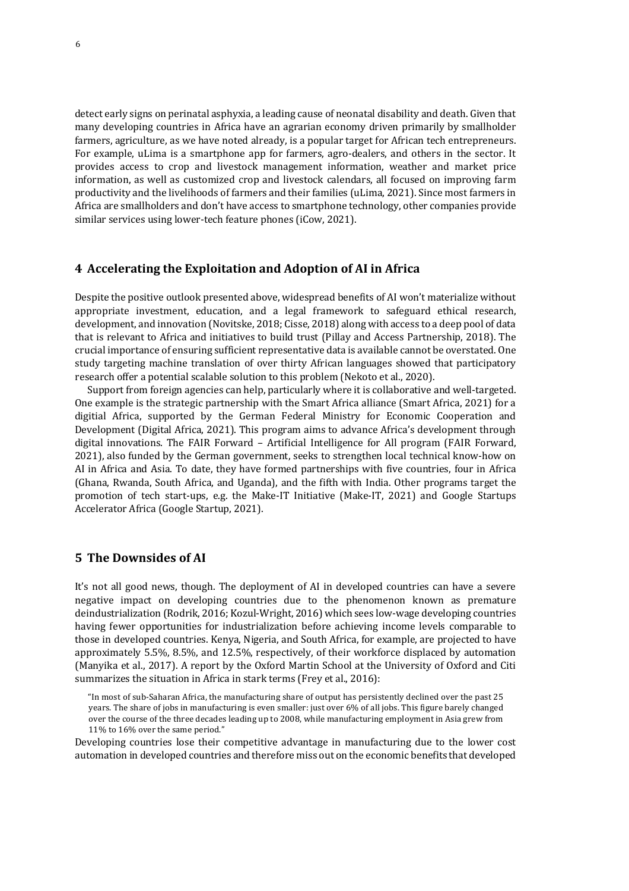detect early signs on perinatal asphyxia, a leading cause of neonatal disability and death. Given that many developing countries in Africa have an agrarian economy driven primarily by smallholder farmers, agriculture, as we have noted already, is a popular target for African tech entrepreneurs. For example, uLima is a smartphone app for farmers, agro-dealers, and others in the sector. It provides access to crop and livestock management information, weather and market price information, as well as customized crop and livestock calendars, all focused on improving farm productivity and the livelihoods of farmers and their families (uLima, 2021). Since most farmers in Africa are smallholders and don't have access to smartphone technology, other companies provide similar services using lower-tech feature phones (iCow, 2021).

#### **4** Accelerating the Exploitation and Adoption of AI in Africa

Despite the positive outlook presented above, widespread benefits of AI won't materialize without appropriate investment, education, and a legal framework to safeguard ethical research, development, and innovation (Novitske, 2018; Cisse, 2018) along with access to a deep pool of data that is relevant to Africa and initiatives to build trust (Pillay and Access Partnership, 2018). The crucial importance of ensuring sufficient representative data is available cannot be overstated. One study targeting machine translation of over thirty African languages showed that participatory research offer a potential scalable solution to this problem (Nekoto et al., 2020).

Support from foreign agencies can help, particularly where it is collaborative and well-targeted. One example is the strategic partnership with the Smart Africa alliance (Smart Africa, 2021) for a digitial Africa, supported by the German Federal Ministry for Economic Cooperation and Development (Digital Africa, 2021). This program aims to advance Africa's development through digital innovations. The FAIR Forward – Artificial Intelligence for All program (FAIR Forward, 2021), also funded by the German government, seeks to strengthen local technical know-how on AI in Africa and Asia. To date, they have formed partnerships with five countries, four in Africa (Ghana, Rwanda, South Africa, and Uganda), and the fifth with India. Other programs target the promotion of tech start-ups, e.g. the Make-IT Initiative (Make-IT, 2021) and Google Startups Accelerator Africa (Google Startup, 2021).

#### **5** The Downsides of AI

It's not all good news, though. The deployment of AI in developed countries can have a severe negative impact on developing countries due to the phenomenon known as premature deindustrialization (Rodrik, 2016; Kozul-Wright, 2016) which sees low-wage developing countries having fewer opportunities for industrialization before achieving income levels comparable to those in developed countries. Kenya, Nigeria, and South Africa, for example, are projected to have approximately 5.5%, 8.5%, and 12.5%, respectively, of their workforce displaced by automation (Manyika et al., 2017). A report by the Oxford Martin School at the University of Oxford and Citi summarizes the situation in Africa in stark terms (Frey et al., 2016):

"In most of sub-Saharan Africa, the manufacturing share of output has persistently declined over the past 25 years. The share of jobs in manufacturing is even smaller: just over 6% of all jobs. This figure barely changed over the course of the three decades leading up to 2008, while manufacturing employment in Asia grew from 11% to 16% over the same period."

Developing countries lose their competitive advantage in manufacturing due to the lower cost automation in developed countries and therefore miss out on the economic benefits that developed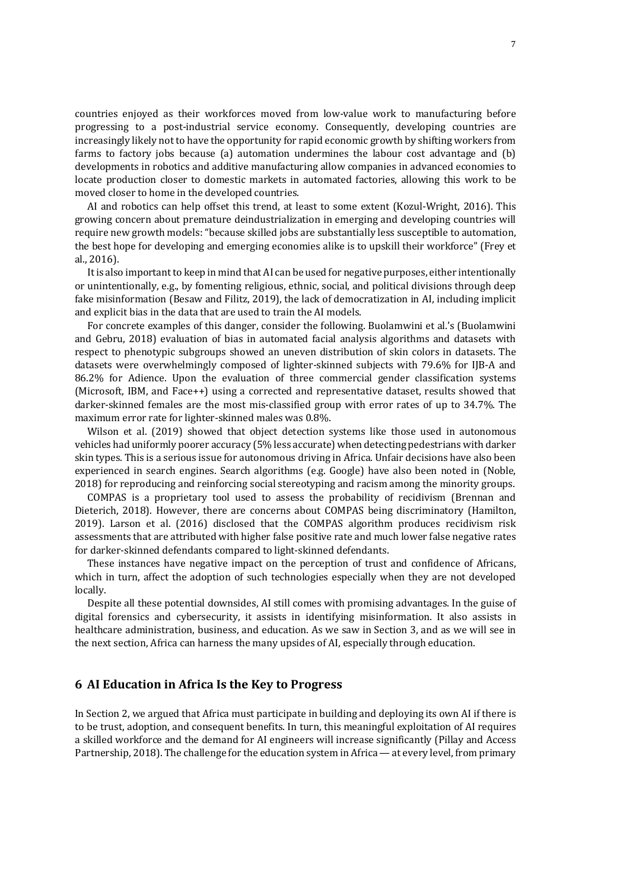countries enjoyed as their workforces moved from low-value work to manufacturing before progressing to a post-industrial service economy. Consequently, developing countries are increasingly likely not to have the opportunity for rapid economic growth by shifting workers from farms to factory jobs because (a) automation undermines the labour cost advantage and  $(b)$ developments in robotics and additive manufacturing allow companies in advanced economies to locate production closer to domestic markets in automated factories, allowing this work to be moved closer to home in the developed countries.

AI and robotics can help offset this trend, at least to some extent (Kozul-Wright, 2016). This growing concern about premature deindustrialization in emerging and developing countries will require new growth models: "because skilled jobs are substantially less susceptible to automation, the best hope for developing and emerging economies alike is to upskill their workforce" (Frey et al., 2016).

It is also important to keep in mind that AI can be used for negative purposes, either intentionally or unintentionally, e.g., by fomenting religious, ethnic, social, and political divisions through deep fake misinformation (Besaw and Filitz, 2019), the lack of democratization in AI, including implicit and explicit bias in the data that are used to train the AI models.

For concrete examples of this danger, consider the following. Buolamwini et al.'s (Buolamwini and Gebru, 2018) evaluation of bias in automated facial analysis algorithms and datasets with respect to phenotypic subgroups showed an uneven distribution of skin colors in datasets. The datasets were overwhelmingly composed of lighter-skinned subjects with 79.6% for IJB-A and 86.2% for Adience. Upon the evaluation of three commercial gender classification systems (Microsoft, IBM, and Face++) using a corrected and representative dataset, results showed that darker-skinned females are the most mis-classified group with error rates of up to 34.7%. The maximum error rate for lighter-skinned males was 0.8%.

Wilson et al. (2019) showed that object detection systems like those used in autonomous vehicles had uniformly poorer accuracy (5% less accurate) when detecting pedestrians with darker skin types. This is a serious issue for autonomous driving in Africa. Unfair decisions have also been experienced in search engines. Search algorithms (e.g. Google) have also been noted in (Noble, 2018) for reproducing and reinforcing social stereotyping and racism among the minority groups.

COMPAS is a proprietary tool used to assess the probability of recidivism (Brennan and Dieterich, 2018). However, there are concerns about COMPAS being discriminatory (Hamilton, 2019). Larson et al. (2016) disclosed that the COMPAS algorithm produces recidivism risk assessments that are attributed with higher false positive rate and much lower false negative rates for darker-skinned defendants compared to light-skinned defendants.

These instances have negative impact on the perception of trust and confidence of Africans, which in turn, affect the adoption of such technologies especially when they are not developed locally.

Despite all these potential downsides, AI still comes with promising advantages. In the guise of digital forensics and cybersecurity, it assists in identifying misinformation. It also assists in healthcare administration, business, and education. As we saw in Section 3, and as we will see in the next section, Africa can harness the many upsides of AI, especially through education.

# **6 AI Education in Africa Is the Key to Progress**

In Section 2, we argued that Africa must participate in building and deploying its own AI if there is to be trust, adoption, and consequent benefits. In turn, this meaningful exploitation of AI requires a skilled workforce and the demand for AI engineers will increase significantly (Pillay and Access Partnership, 2018). The challenge for the education system in Africa — at every level, from primary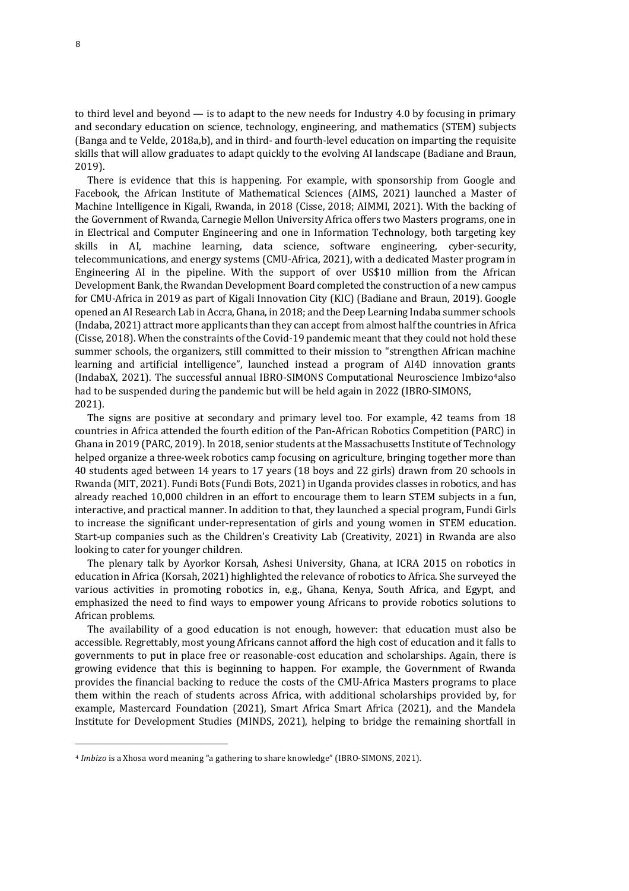to third level and beyond  $-$  is to adapt to the new needs for Industry 4.0 by focusing in primary and secondary education on science, technology, engineering, and mathematics (STEM) subjects (Banga and te Velde, 2018a,b), and in third- and fourth-level education on imparting the requisite skills that will allow graduates to adapt quickly to the evolving AI landscape (Badiane and Braun, 2019).

There is evidence that this is happening. For example, with sponsorship from Google and Facebook, the African Institute of Mathematical Sciences (AIMS, 2021) launched a Master of Machine Intelligence in Kigali, Rwanda, in 2018 (Cisse, 2018; AIMMI, 2021). With the backing of the Government of Rwanda, Carnegie Mellon University Africa offers two Masters programs, one in in Electrical and Computer Engineering and one in Information Technology, both targeting key skills in AI, machine learning, data science, software engineering, cyber-security, telecommunications, and energy systems (CMU-Africa, 2021), with a dedicated Master program in Engineering AI in the pipeline. With the support of over US\$10 million from the African Development Bank, the Rwandan Development Board completed the construction of a new campus for CMU-Africa in 2019 as part of Kigali Innovation City (KIC) (Badiane and Braun, 2019). Google opened an AI Research Lab in Accra, Ghana, in 2018; and the Deep Learning Indaba summer schools (Indaba, 2021) attract more applicants than they can accept from almost half the countries in Africa (Cisse, 2018). When the constraints of the Covid-19 pandemic meant that they could not hold these summer schools, the organizers, still committed to their mission to "strengthen African machine learning and artificial intelligence", launched instead a program of AI4D innovation grants (IndabaX, 2021). The successful annual IBRO-SIMONS Computational Neuroscience Imbizo4also had to be suspended during the pandemic but will be held again in 2022 (IBRO-SIMONS, 2021).

The signs are positive at secondary and primary level too. For example, 42 teams from 18 countries in Africa attended the fourth edition of the Pan-African Robotics Competition (PARC) in Ghana in 2019 (PARC, 2019). In 2018, senior students at the Massachusetts Institute of Technology helped organize a three-week robotics camp focusing on agriculture, bringing together more than 40 students aged between 14 years to 17 years (18 boys and 22 girls) drawn from 20 schools in Rwanda (MIT, 2021). Fundi Bots (Fundi Bots, 2021) in Uganda provides classes in robotics, and has already reached 10,000 children in an effort to encourage them to learn STEM subjects in a fun, interactive, and practical manner. In addition to that, they launched a special program, Fundi Girls to increase the significant under-representation of girls and young women in STEM education. Start-up companies such as the Children's Creativity Lab (Creativity, 2021) in Rwanda are also looking to cater for younger children.

The plenary talk by Ayorkor Korsah, Ashesi University, Ghana, at ICRA 2015 on robotics in education in Africa (Korsah, 2021) highlighted the relevance of robotics to Africa. She surveyed the various activities in promoting robotics in, e.g., Ghana, Kenya, South Africa, and Egypt, and emphasized the need to find ways to empower young Africans to provide robotics solutions to African problems.

The availability of a good education is not enough, however: that education must also be accessible. Regrettably, most young Africans cannot afford the high cost of education and it falls to governments to put in place free or reasonable-cost education and scholarships. Again, there is growing evidence that this is beginning to happen. For example, the Government of Rwanda provides the financial backing to reduce the costs of the CMU-Africa Masters programs to place them within the reach of students across Africa, with additional scholarships provided by, for example, Mastercard Foundation (2021), Smart Africa Smart Africa (2021), and the Mandela Institute for Development Studies (MINDS, 2021), helping to bridge the remaining shortfall in

<sup>&</sup>lt;sup>4</sup> *Imbizo* is a Xhosa word meaning "a gathering to share knowledge" (IBRO-SIMONS, 2021).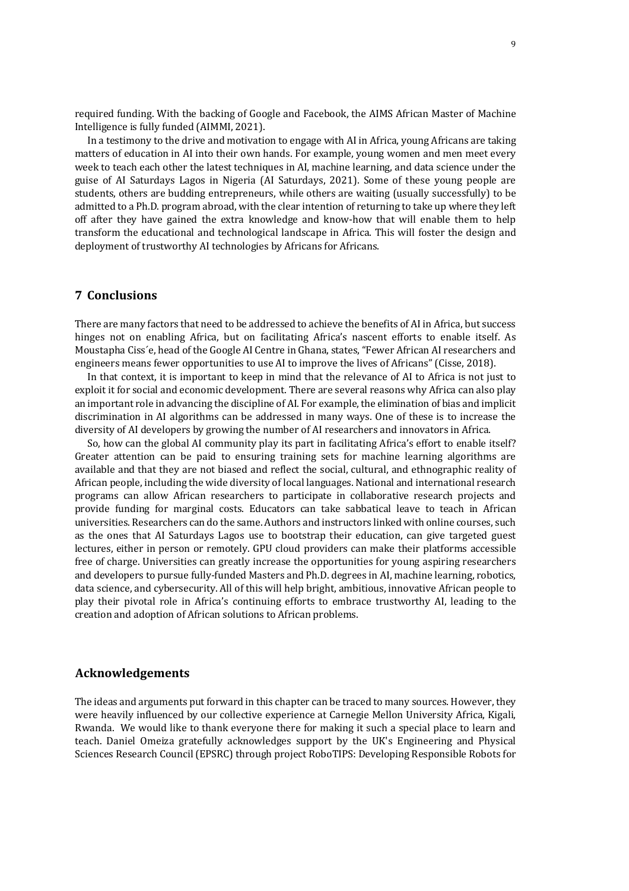required funding. With the backing of Google and Facebook, the AIMS African Master of Machine Intelligence is fully funded (AIMMI, 2021).

In a testimony to the drive and motivation to engage with AI in Africa, young Africans are taking matters of education in AI into their own hands. For example, young women and men meet every week to teach each other the latest techniques in AI, machine learning, and data science under the guise of AI Saturdays Lagos in Nigeria (AI Saturdays, 2021). Some of these young people are students, others are budding entrepreneurs, while others are waiting (usually successfully) to be admitted to a Ph.D. program abroad, with the clear intention of returning to take up where they left off after they have gained the extra knowledge and know-how that will enable them to help transform the educational and technological landscape in Africa. This will foster the design and deployment of trustworthy AI technologies by Africans for Africans.

# **7 Conclusions**

There are many factors that need to be addressed to achieve the benefits of AI in Africa, but success hinges not on enabling Africa, but on facilitating Africa's nascent efforts to enable itself. As Moustapha Ciss'e, head of the Google AI Centre in Ghana, states, "Fewer African AI researchers and engineers means fewer opportunities to use AI to improve the lives of Africans" (Cisse, 2018).

In that context, it is important to keep in mind that the relevance of AI to Africa is not just to exploit it for social and economic development. There are several reasons why Africa can also play an important role in advancing the discipline of AI. For example, the elimination of bias and implicit discrimination in AI algorithms can be addressed in many ways. One of these is to increase the diversity of AI developers by growing the number of AI researchers and innovators in Africa.

So, how can the global AI community play its part in facilitating Africa's effort to enable itself? Greater attention can be paid to ensuring training sets for machine learning algorithms are available and that they are not biased and reflect the social, cultural, and ethnographic reality of African people, including the wide diversity of local languages. National and international research programs can allow African researchers to participate in collaborative research projects and provide funding for marginal costs. Educators can take sabbatical leave to teach in African universities. Researchers can do the same. Authors and instructors linked with online courses, such as the ones that AI Saturdays Lagos use to bootstrap their education, can give targeted guest lectures, either in person or remotely. GPU cloud providers can make their platforms accessible free of charge. Universities can greatly increase the opportunities for young aspiring researchers and developers to pursue fully-funded Masters and Ph.D. degrees in AI, machine learning, robotics, data science, and cybersecurity. All of this will help bright, ambitious, innovative African people to play their pivotal role in Africa's continuing efforts to embrace trustworthy AI, leading to the creation and adoption of African solutions to African problems.

#### **Acknowledgements**

The ideas and arguments put forward in this chapter can be traced to many sources. However, they were heavily influenced by our collective experience at Carnegie Mellon University Africa, Kigali, Rwanda. We would like to thank everyone there for making it such a special place to learn and teach. Daniel Omeiza gratefully acknowledges support by the UK's Engineering and Physical Sciences Research Council (EPSRC) through project RoboTIPS: Developing Responsible Robots for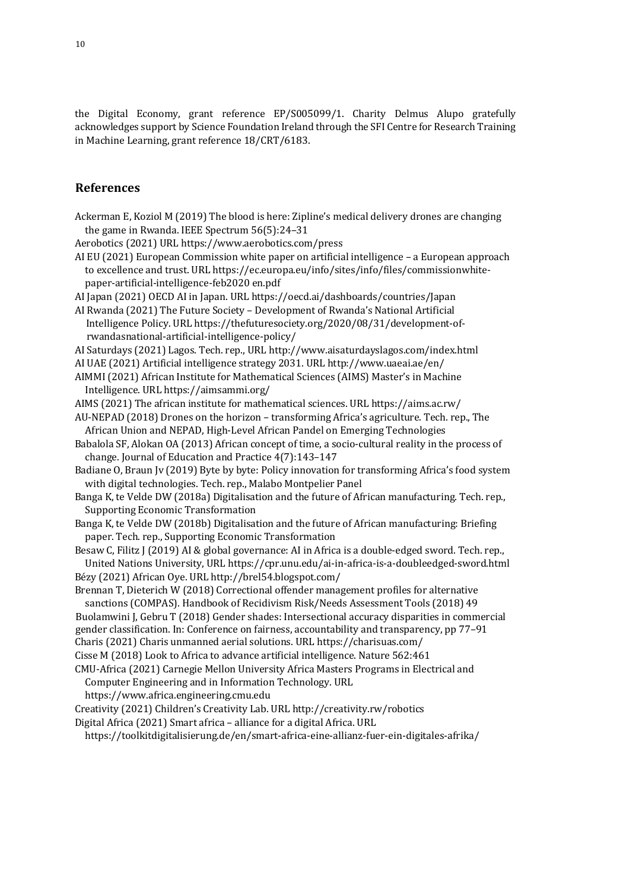the Digital Economy, grant reference EP/S005099/1. Charity Delmus Alupo gratefully acknowledges support by Science Foundation Ireland through the SFI Centre for Research Training in Machine Learning, grant reference 18/CRT/6183.

# **References**

Ackerman E, Koziol M (2019) The blood is here: Zipline's medical delivery drones are changing the game in Rwanda. IEEE Spectrum  $56(5)$ :24-31

Aerobotics (2021) URL https://www.aerobotics.com/press

- AI EU (2021) European Commission white paper on artificial intelligence a European approach to excellence and trust. URL https://ec.europa.eu/info/sites/info/files/commissionwhitepaper-artificial-intelligence-feb2020 en.pdf
- AI Japan (2021) OECD AI in Japan. URL https://oecd.ai/dashboards/countries/Japan
- AI Rwanda (2021) The Future Society Development of Rwanda's National Artificial Intelligence Policy. URL https://thefuturesociety.org/2020/08/31/development-ofrwandasnational-artificial-intelligence-policy/
- AI Saturdays (2021) Lagos. Tech. rep., URL http://www.aisaturdayslagos.com/index.html
- AI UAE (2021) Artificial intelligence strategy 2031. URL http://www.uaeai.ae/en/
- AIMMI (2021) African Institute for Mathematical Sciences (AIMS) Master's in Machine Intelligence. URL https://aimsammi.org/
- AIMS (2021) The african institute for mathematical sciences. URL https://aims.ac.rw/
- AU-NEPAD (2018) Drones on the horizon transforming Africa's agriculture. Tech. rep., The African Union and NEPAD, High-Level African Pandel on Emerging Technologies
- Babalola SF, Alokan OA (2013) African concept of time, a socio-cultural reality in the process of change. Journal of Education and Practice  $4(7)$ :143-147
- Badiane O, Braun Jv (2019) Byte by byte: Policy innovation for transforming Africa's food system with digital technologies. Tech. rep., Malabo Montpelier Panel
- Banga K, te Velde DW (2018a) Digitalisation and the future of African manufacturing. Tech. rep., Supporting Economic Transformation
- Banga K, te Velde DW (2018b) Digitalisation and the future of African manufacturing: Briefing paper. Tech. rep., Supporting Economic Transformation
- Besaw C, Filitz J (2019) AI & global governance: AI in Africa is a double-edged sword. Tech. rep., United Nations University, URL https://cpr.unu.edu/ai-in-africa-is-a-doubleedged-sword.html
- Bézy (2021) African Oye. URL http://brel54.blogspot.com/
- Brennan T, Dieterich W (2018) Correctional offender management profiles for alternative sanctions (COMPAS). Handbook of Recidivism Risk/Needs Assessment Tools (2018) 49
- Buolamwini J, Gebru T (2018) Gender shades: Intersectional accuracy disparities in commercial
- gender classification. In: Conference on fairness, accountability and transparency, pp 77-91
- Charis (2021) Charis unmanned aerial solutions. URL https://charisuas.com/
- Cisse M (2018) Look to Africa to advance artificial intelligence. Nature 562:461
- CMU-Africa (2021) Carnegie Mellon University Africa Masters Programs in Electrical and Computer Engineering and in Information Technology. URL
	- https://www.africa.engineering.cmu.edu
- Creativity (2021) Children's Creativity Lab. URL http://creativity.rw/robotics
- Digital Africa (2021) Smart africa alliance for a digital Africa. URL
	- https://toolkitdigitalisierung.de/en/smart-africa-eine-allianz-fuer-ein-digitales-afrika/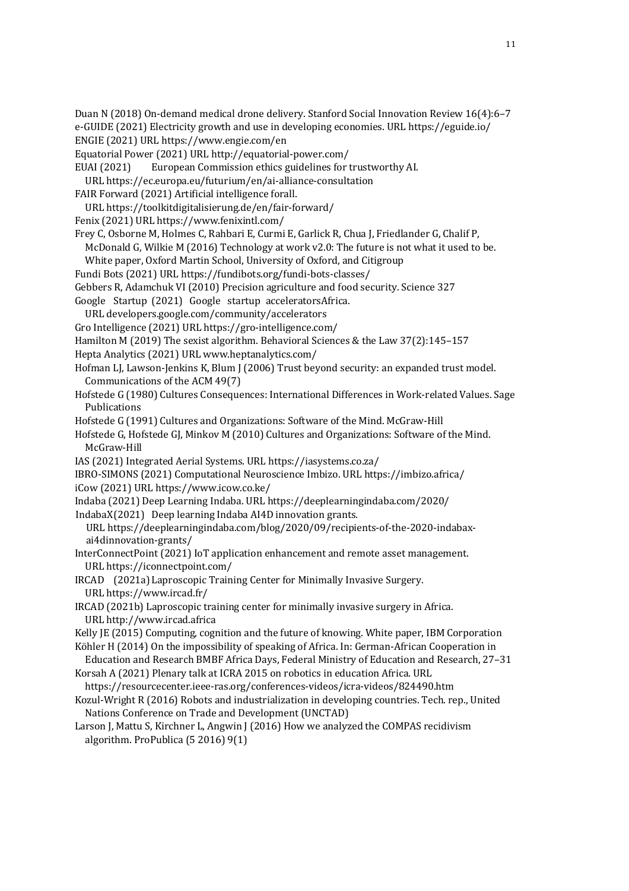Duan N (2018) On-demand medical drone delivery. Stanford Social Innovation Review 16(4):6–7

- e-GUIDE (2021) Electricity growth and use in developing economies. URL https://eguide.io/
- ENGIE (2021) URL https://www.engie.com/en
- Equatorial Power (2021) URL http://equatorial-power.com/
- EUAI (2021) European Commission ethics guidelines for trustworthy AI.
- URL https://ec.europa.eu/futurium/en/ai-alliance-consultation
- FAIR Forward (2021) Artificial intelligence forall.
- URL https://toolkitdigitalisierung.de/en/fair-forward/
- Fenix (2021) URL https://www.fenixintl.com/
- Frey C, Osborne M, Holmes C, Rahbari E, Curmi E, Garlick R, Chua J, Friedlander G, Chalif P,
- McDonald G, Wilkie M  $(2016)$  Technology at work v2.0: The future is not what it used to be.
- White paper, Oxford Martin School, University of Oxford, and Citigroup
- Fundi Bots (2021) URL https://fundibots.org/fundi-bots-classes/
- Gebbers R, Adamchuk VI (2010) Precision agriculture and food security. Science 327
- Google Startup (2021) Google startup acceleratorsAfrica.
- URL developers.google.com/community/accelerators
- Gro Intelligence (2021) URL https://gro-intelligence.com/
- Hamilton M (2019) The sexist algorithm. Behavioral Sciences & the Law 37(2):145-157
- Hepta Analytics (2021) URL www.heptanalytics.com/
- Hofman LJ, Lawson-Jenkins K, Blum J (2006) Trust beyond security: an expanded trust model. Communications of the ACM 49(7)
- Hofstede G (1980) Cultures Consequences: International Differences in Work-related Values. Sage Publications
- Hofstede G (1991) Cultures and Organizations: Software of the Mind. McGraw-Hill
- Hofstede G, Hofstede GJ, Minkov M (2010) Cultures and Organizations: Software of the Mind. McGraw-Hill
- IAS (2021) Integrated Aerial Systems. URL https://iasystems.co.za/
- IBRO-SIMONS (2021) Computational Neuroscience Imbizo. URL https://imbizo.africa/ iCow (2021) URL https://www.icow.co.ke/
- Indaba (2021) Deep Learning Indaba. URL https://deeplearningindaba.com/2020/
- IndabaX(2021) Deep learning Indaba AI4D innovation grants.
- URL https://deeplearningindaba.com/blog/2020/09/recipients-of-the-2020-indabaxai4dinnovation-grants/
- InterConnectPoint (2021) IoT application enhancement and remote asset management. URL https://iconnectpoint.com/
- IRCAD (2021a)Laproscopic Training Center for Minimally Invasive Surgery. URL https://www.ircad.fr/
- IRCAD (2021b) Laproscopic training center for minimally invasive surgery in Africa. URL http://www.ircad.africa
- Kelly IE (2015) Computing, cognition and the future of knowing. White paper, IBM Corporation
- Köhler H (2014) On the impossibility of speaking of Africa. In: German-African Cooperation in Education and Research BMBF Africa Days, Federal Ministry of Education and Research, 27-31
- Korsah A (2021) Plenary talk at ICRA 2015 on robotics in education Africa. URL
- https://resourcecenter.ieee-ras.org/conferences-videos/icra-videos/824490.htm
- Kozul-Wright R (2016) Robots and industrialization in developing countries. Tech. rep., United Nations Conference on Trade and Development (UNCTAD)
- Larson J, Mattu S, Kirchner L, Angwin J (2016) How we analyzed the COMPAS recidivism algorithm. ProPublica  $(5\ 2016)$  9(1)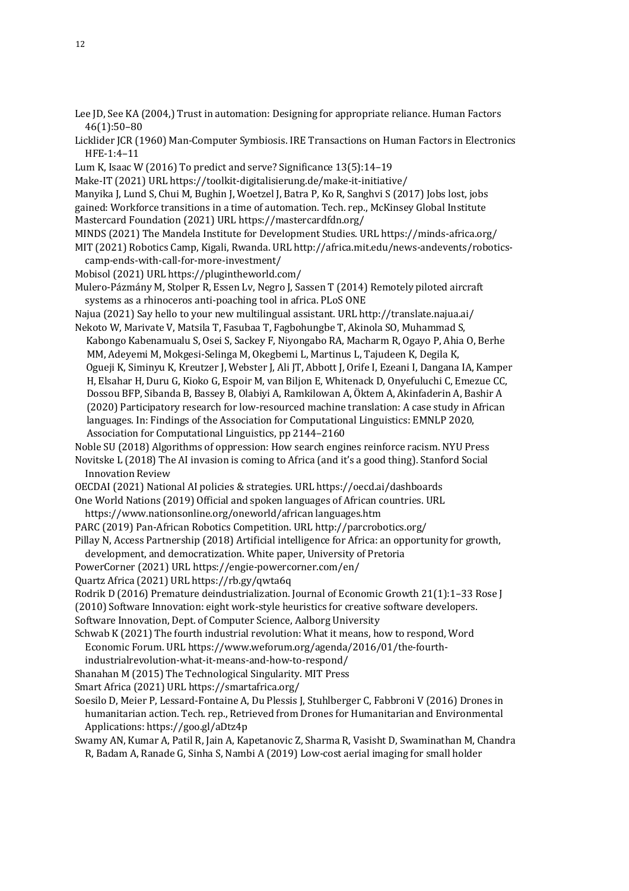- Lee JD, See KA (2004,) Trust in automation: Designing for appropriate reliance. Human Factors 46(1):50–80
- Licklider JCR (1960) Man-Computer Symbiosis. IRE Transactions on Human Factors in Electronics HFE-1:4–11
- Lum K, Isaac W (2016) To predict and serve? Significance 13(5):14-19
- Make-IT (2021) URL https://toolkit-digitalisierung.de/make-it-initiative/
- Manyika J, Lund S, Chui M, Bughin J, Woetzel J, Batra P, Ko R, Sanghvi S (2017) Jobs lost, jobs gained: Workforce transitions in a time of automation. Tech. rep., McKinsey Global Institute
- Mastercard Foundation (2021) URL https://mastercardfdn.org/
- MINDS (2021) The Mandela Institute for Development Studies. URL https://minds-africa.org/
- MIT (2021) Robotics Camp, Kigali, Rwanda. URL http://africa.mit.edu/news-andevents/roboticscamp-ends-with-call-for-more-investment/
- Mobisol (2021) URL https://plugintheworld.com/
- Mulero-Pázmány M, Stolper R, Essen Lv, Negro J, Sassen T (2014) Remotely piloted aircraft systems as a rhinoceros anti-poaching tool in africa. PLoS ONE
- Najua (2021) Say hello to your new multilingual assistant. URL http://translate.najua.ai/
- Nekoto W, Marivate V, Matsila T, Fasubaa T, Fagbohungbe T, Akinola SO, Muhammad S, Kabongo Kabenamualu S, Osei S, Sackey F, Niyongabo RA, Macharm R, Ogayo P, Ahia O, Berhe MM, Adeyemi M, Mokgesi-Selinga M, Okegbemi L, Martinus L, Tajudeen K, Degila K, Ogueji K, Siminyu K, Kreutzer J, Webster J, Ali JT, Abbott J, Orife I, Ezeani I, Dangana IA, Kamper H, Elsahar H, Duru G, Kioko G, Espoir M, van Biljon E, Whitenack D, Onyefuluchi C, Emezue CC, Dossou BFP, Sibanda B, Bassey B, Olabiyi A, Ramkilowan A, Öktem A, Akinfaderin A, Bashir A (2020) Participatory research for low-resourced machine translation: A case study in African languages. In: Findings of the Association for Computational Linguistics: EMNLP 2020,
- Association for Computational Linguistics, pp 2144-2160
- Noble SU (2018) Algorithms of oppression: How search engines reinforce racism. NYU Press
- Novitske L (2018) The AI invasion is coming to Africa (and it's a good thing). Stanford Social Innovation Review
- OECDAI (2021) National AI policies & strategies. URL https://oecd.ai/dashboards
- One World Nations (2019) Official and spoken languages of African countries. URL
- https://www.nationsonline.org/oneworld/african languages.htm
- PARC (2019) Pan-African Robotics Competition. URL http://parcrobotics.org/
- Pillay N, Access Partnership (2018) Artificial intelligence for Africa: an opportunity for growth, development, and democratization. White paper, University of Pretoria
- PowerCorner (2021) URL https://engie-powercorner.com/en/
- Quartz Africa (2021) URL https://rb.gy/qwta6q
- Rodrik D (2016) Premature deindustrialization. Journal of Economic Growth  $21(1):1-33$  Rose J
- (2010) Software Innovation: eight work-style heuristics for creative software developers.
- Software Innovation, Dept. of Computer Science, Aalborg University
- Schwab K (2021) The fourth industrial revolution: What it means, how to respond, Word Economic Forum. URL https://www.weforum.org/agenda/2016/01/the-fourth
	- industrialrevolution-what-it-means-and-how-to-respond/
- Shanahan M (2015) The Technological Singularity. MIT Press
- Smart Africa (2021) URL https://smartafrica.org/
- Soesilo D, Meier P, Lessard-Fontaine A, Du Plessis J, Stuhlberger C, Fabbroni V (2016) Drones in humanitarian action. Tech. rep., Retrieved from Drones for Humanitarian and Environmental Applications: https://goo.gl/aDtz4p
- Swamy AN, Kumar A, Patil R, Jain A, Kapetanovic Z, Sharma R, Vasisht D, Swaminathan M, Chandra R, Badam A, Ranade G, Sinha S, Nambi A (2019) Low-cost aerial imaging for small holder